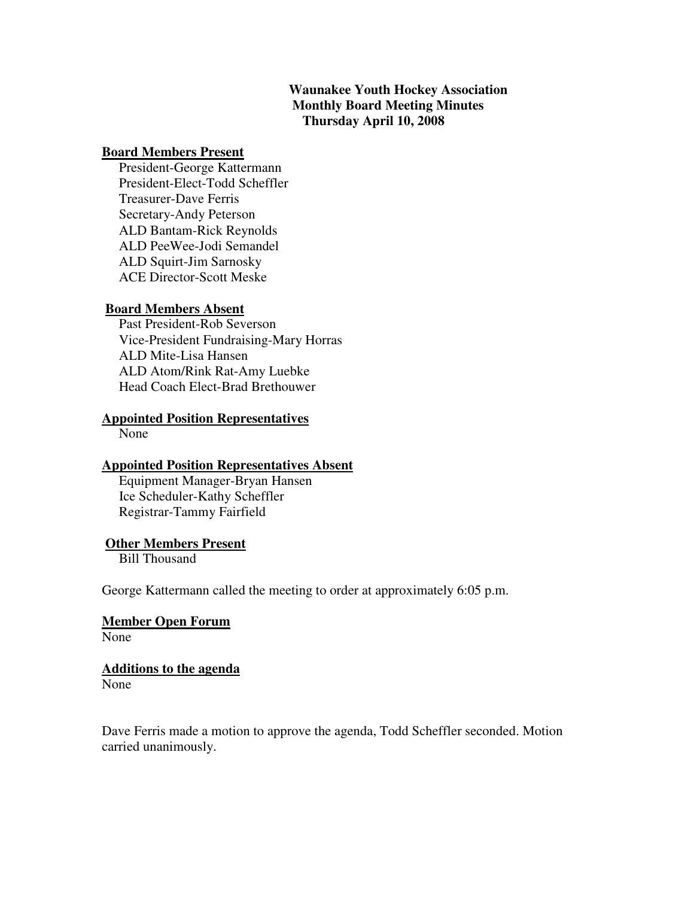# **Waunakee Youth Hockey Association Monthly Board Meeting Minutes Thursday April 10, 2008**

#### **Board Members Present**

 President-George Kattermann President-Elect-Todd Scheffler Treasurer-Dave Ferris Secretary-Andy Peterson ALD Bantam-Rick Reynolds ALD PeeWee-Jodi Semandel ALD Squirt-Jim Sarnosky ACE Director-Scott Meske

### **Board Members Absent**

 Past President-Rob Severson Vice-President Fundraising-Mary Horras ALD Mite-Lisa Hansen ALD Atom/Rink Rat-Amy Luebke Head Coach Elect-Brad Brethouwer

#### **Appointed Position Representatives**

None

#### **Appointed Position Representatives Absent**

 Equipment Manager-Bryan Hansen Ice Scheduler-Kathy Scheffler Registrar-Tammy Fairfield

#### **Other Members Present**

Bill Thousand

George Kattermann called the meeting to order at approximately 6:05 p.m.

### **Member Open Forum**

None

#### **Additions to the agenda**

None

Dave Ferris made a motion to approve the agenda, Todd Scheffler seconded. Motion carried unanimously.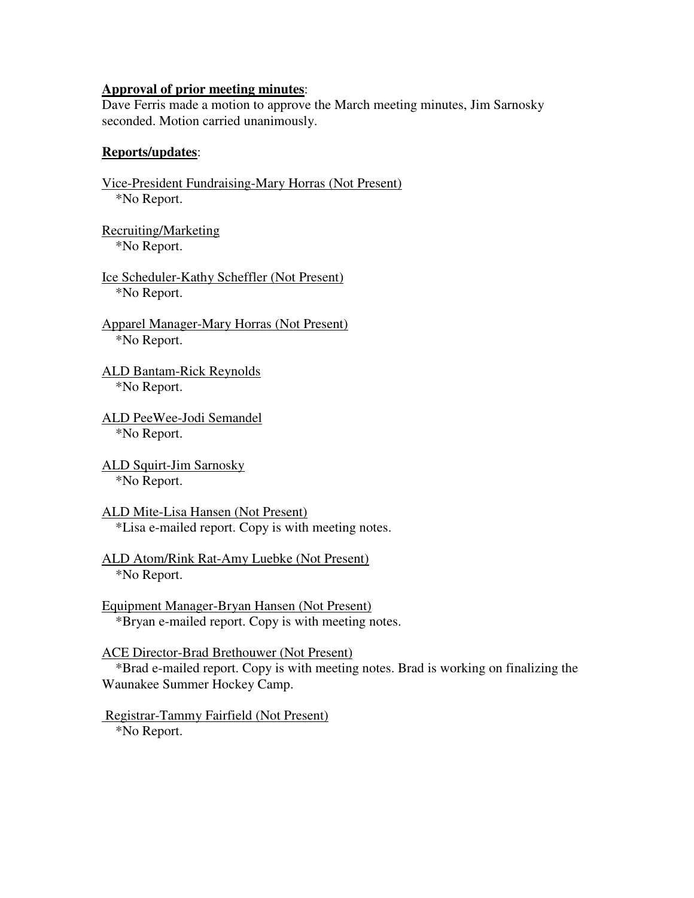# **Approval of prior meeting minutes**:

Dave Ferris made a motion to approve the March meeting minutes, Jim Sarnosky seconded. Motion carried unanimously.

### **Reports/updates**:

Vice-President Fundraising-Mary Horras (Not Present) \*No Report. Recruiting/Marketing \*No Report. Ice Scheduler-Kathy Scheffler (Not Present) \*No Report. Apparel Manager-Mary Horras (Not Present) \*No Report. ALD Bantam-Rick Reynolds \*No Report. ALD PeeWee-Jodi Semandel \*No Report. ALD Squirt-Jim Sarnosky \*No Report. ALD Mite-Lisa Hansen (Not Present) \*Lisa e-mailed report. Copy is with meeting notes. ALD Atom/Rink Rat-Amy Luebke (Not Present) \*No Report. Equipment Manager-Bryan Hansen (Not Present) \*Bryan e-mailed report. Copy is with meeting notes. ACE Director-Brad Brethouwer (Not Present) \*Brad e-mailed report. Copy is with meeting notes. Brad is working on finalizing the Waunakee Summer Hockey Camp.

 Registrar-Tammy Fairfield (Not Present) \*No Report.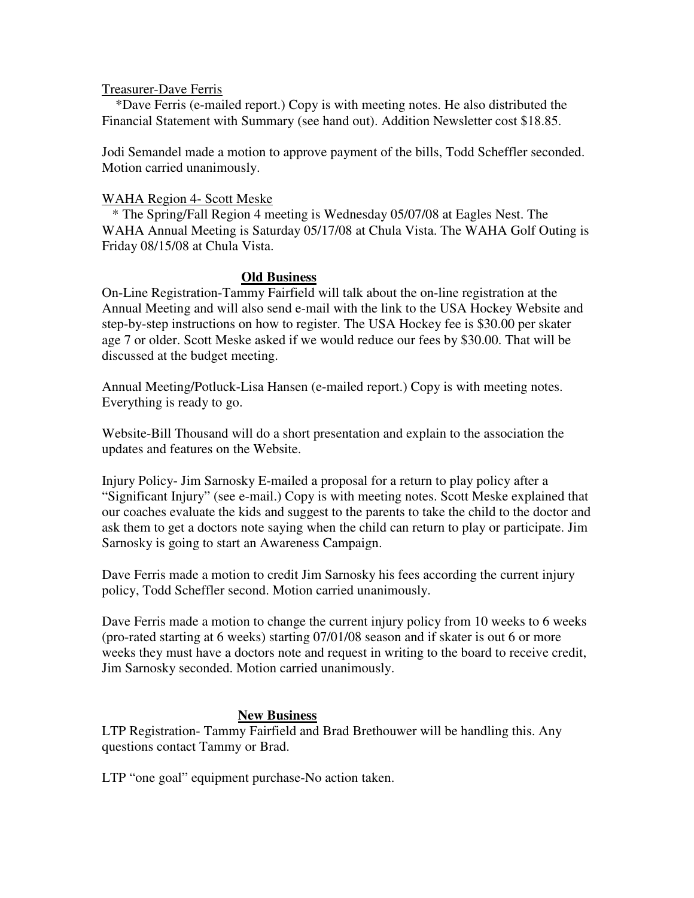#### Treasurer-Dave Ferris

 \*Dave Ferris (e-mailed report.) Copy is with meeting notes. He also distributed the Financial Statement with Summary (see hand out). Addition Newsletter cost \$18.85.

Jodi Semandel made a motion to approve payment of the bills, Todd Scheffler seconded. Motion carried unanimously.

### WAHA Region 4- Scott Meske

 \* The Spring/Fall Region 4 meeting is Wednesday 05/07/08 at Eagles Nest. The WAHA Annual Meeting is Saturday 05/17/08 at Chula Vista. The WAHA Golf Outing is Friday 08/15/08 at Chula Vista.

### **Old Business**

On-Line Registration-Tammy Fairfield will talk about the on-line registration at the Annual Meeting and will also send e-mail with the link to the USA Hockey Website and step-by-step instructions on how to register. The USA Hockey fee is \$30.00 per skater age 7 or older. Scott Meske asked if we would reduce our fees by \$30.00. That will be discussed at the budget meeting.

Annual Meeting/Potluck-Lisa Hansen (e-mailed report.) Copy is with meeting notes. Everything is ready to go.

Website-Bill Thousand will do a short presentation and explain to the association the updates and features on the Website.

Injury Policy- Jim Sarnosky E-mailed a proposal for a return to play policy after a "Significant Injury" (see e-mail.) Copy is with meeting notes. Scott Meske explained that our coaches evaluate the kids and suggest to the parents to take the child to the doctor and ask them to get a doctors note saying when the child can return to play or participate. Jim Sarnosky is going to start an Awareness Campaign.

Dave Ferris made a motion to credit Jim Sarnosky his fees according the current injury policy, Todd Scheffler second. Motion carried unanimously.

Dave Ferris made a motion to change the current injury policy from 10 weeks to 6 weeks (pro-rated starting at 6 weeks) starting 07/01/08 season and if skater is out 6 or more weeks they must have a doctors note and request in writing to the board to receive credit, Jim Sarnosky seconded. Motion carried unanimously.

### **New Business**

LTP Registration- Tammy Fairfield and Brad Brethouwer will be handling this. Any questions contact Tammy or Brad.

LTP "one goal" equipment purchase-No action taken.